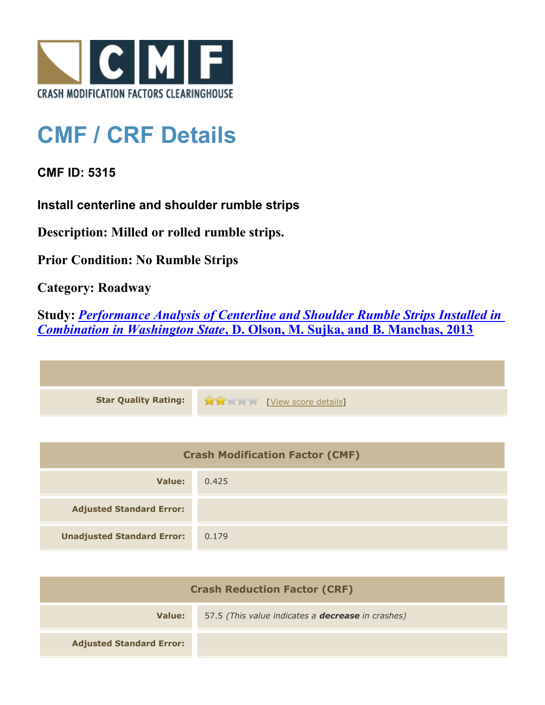

## **CMF / CRF Details**

**CMF ID: 5315**

**Install centerline and shoulder rumble strips**

**Description: Milled or rolled rumble strips.**

**Prior Condition: No Rumble Strips**

**Category: Roadway**

**Study:** *[Performance Analysis of Centerline and Shoulder Rumble Strips Installed in](http://www.cmfclearinghouse.org/study_detail.cfm?stid=334) [Combination in Washington State](http://www.cmfclearinghouse.org/study_detail.cfm?stid=334)***[, D. Olson, M. Sujka, and B. Manchas, 2013](http://www.cmfclearinghouse.org/study_detail.cfm?stid=334)**



| <b>Crash Modification Factor (CMF)</b> |       |
|----------------------------------------|-------|
| Value:                                 | 0.425 |
| <b>Adjusted Standard Error:</b>        |       |
| <b>Unadjusted Standard Error:</b>      | 0.179 |

| <b>Crash Reduction Factor (CRF)</b> |                                                          |
|-------------------------------------|----------------------------------------------------------|
| Value:                              | 57.5 (This value indicates a <b>decrease</b> in crashes) |
| <b>Adjusted Standard Error:</b>     |                                                          |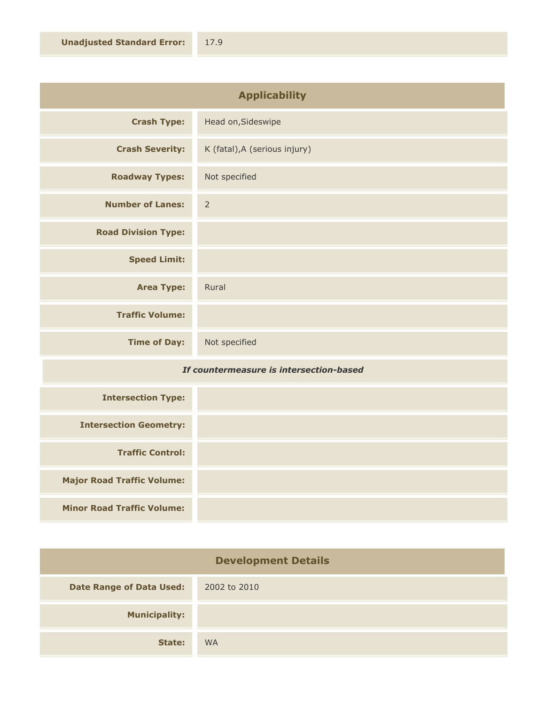| <b>Applicability</b>       |                               |
|----------------------------|-------------------------------|
| <b>Crash Type:</b>         | Head on, Sideswipe            |
| <b>Crash Severity:</b>     | K (fatal), A (serious injury) |
| <b>Roadway Types:</b>      | Not specified                 |
| <b>Number of Lanes:</b>    | $\overline{2}$                |
| <b>Road Division Type:</b> |                               |
| <b>Speed Limit:</b>        |                               |
| <b>Area Type:</b>          | Rural                         |
| <b>Traffic Volume:</b>     |                               |
| <b>Time of Day:</b>        | Not specified                 |

## *If countermeasure is intersection-based*

| <b>Intersection Type:</b>         |  |
|-----------------------------------|--|
| <b>Intersection Geometry:</b>     |  |
| <b>Traffic Control:</b>           |  |
| <b>Major Road Traffic Volume:</b> |  |
| <b>Minor Road Traffic Volume:</b> |  |

| <b>Development Details</b>      |              |
|---------------------------------|--------------|
| <b>Date Range of Data Used:</b> | 2002 to 2010 |
| <b>Municipality:</b>            |              |
| State:                          | <b>WA</b>    |